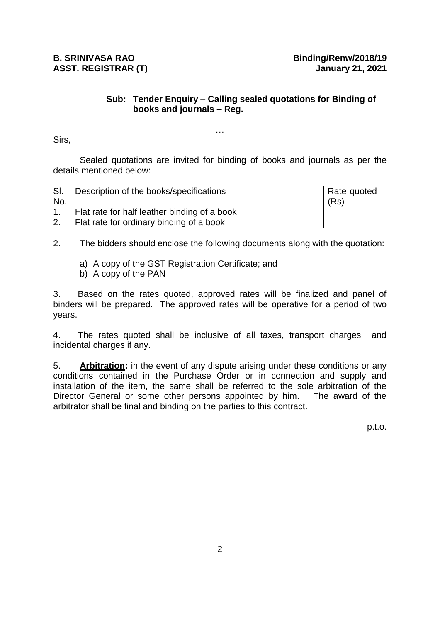## **Sub: Tender Enquiry – Calling sealed quotations for Binding of books and journals – Reg.**

Sirs,

Sealed quotations are invited for binding of books and journals as per the details mentioned below:

…

| SI.            | Description of the books/specifications      | Rate quoted |
|----------------|----------------------------------------------|-------------|
| No.            |                                              | (Rs)        |
|                | Flat rate for half leather binding of a book |             |
| $^{\prime}$ 2. | Flat rate for ordinary binding of a book     |             |

2. The bidders should enclose the following documents along with the quotation:

- a) A copy of the GST Registration Certificate; and
- b) A copy of the PAN

3. Based on the rates quoted, approved rates will be finalized and panel of binders will be prepared. The approved rates will be operative for a period of two years.

4. The rates quoted shall be inclusive of all taxes, transport charges and incidental charges if any.

5. **Arbitration:** in the event of any dispute arising under these conditions or any conditions contained in the Purchase Order or in connection and supply and installation of the item, the same shall be referred to the sole arbitration of the Director General or some other persons appointed by him. The award of the arbitrator shall be final and binding on the parties to this contract.

p.t.o.